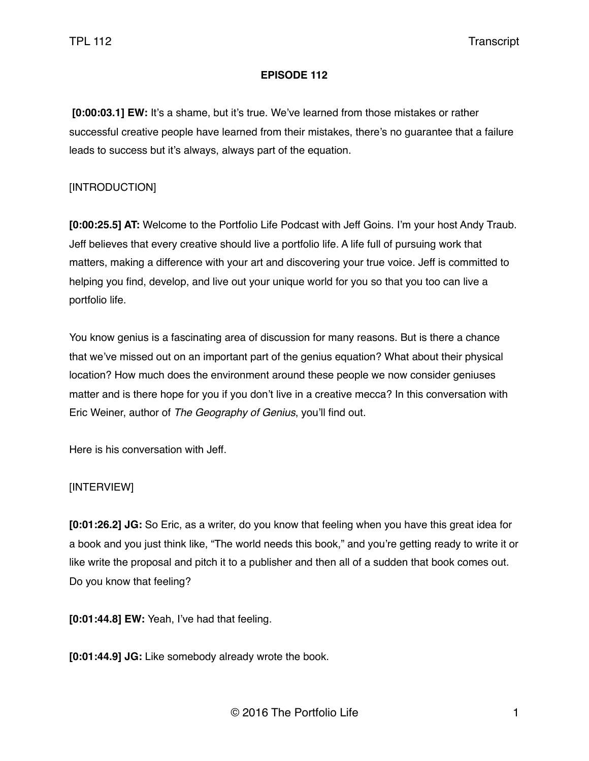## **EPISODE 112**

 **[0:00:03.1] EW:** It's a shame, but it's true. We've learned from those mistakes or rather successful creative people have learned from their mistakes, there's no guarantee that a failure leads to success but it's always, always part of the equation.

# [INTRODUCTION]

**[0:00:25.5] AT:** Welcome to the Portfolio Life Podcast with Jeff Goins. I'm your host Andy Traub. Jeff believes that every creative should live a portfolio life. A life full of pursuing work that matters, making a difference with your art and discovering your true voice. Jeff is committed to helping you find, develop, and live out your unique world for you so that you too can live a portfolio life.

You know genius is a fascinating area of discussion for many reasons. But is there a chance that we've missed out on an important part of the genius equation? What about their physical location? How much does the environment around these people we now consider geniuses matter and is there hope for you if you don't live in a creative mecca? In this conversation with Eric Weiner, author of *The Geography of Genius*, you'll find out.

Here is his conversation with Jeff.

# [INTERVIEW]

**[0:01:26.2] JG:** So Eric, as a writer, do you know that feeling when you have this great idea for a book and you just think like, "The world needs this book," and you're getting ready to write it or like write the proposal and pitch it to a publisher and then all of a sudden that book comes out. Do you know that feeling?

**[0:01:44.8] EW:** Yeah, I've had that feeling.

**[0:01:44.9] JG:** Like somebody already wrote the book.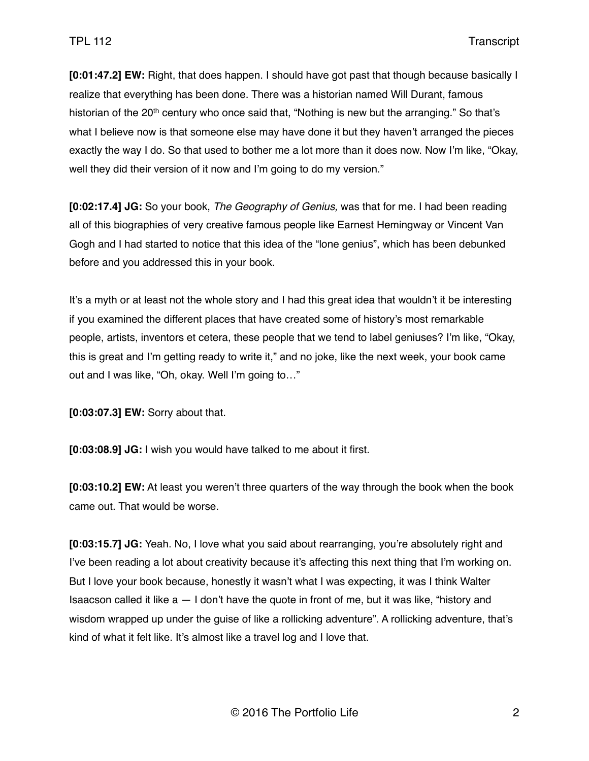**[0:01:47.2] EW:** Right, that does happen. I should have got past that though because basically I realize that everything has been done. There was a historian named Will Durant, famous historian of the 20<sup>th</sup> century who once said that, "Nothing is new but the arranging." So that's what I believe now is that someone else may have done it but they haven't arranged the pieces exactly the way I do. So that used to bother me a lot more than it does now. Now I'm like, "Okay, well they did their version of it now and I'm going to do my version."

**[0:02:17.4] JG:** So your book, *The Geography of Genius,* was that for me. I had been reading all of this biographies of very creative famous people like Earnest Hemingway or Vincent Van Gogh and I had started to notice that this idea of the "lone genius", which has been debunked before and you addressed this in your book.

It's a myth or at least not the whole story and I had this great idea that wouldn't it be interesting if you examined the different places that have created some of history's most remarkable people, artists, inventors et cetera, these people that we tend to label geniuses? I'm like, "Okay, this is great and I'm getting ready to write it," and no joke, like the next week, your book came out and I was like, "Oh, okay. Well I'm going to…"

**[0:03:07.3] EW:** Sorry about that.

**[0:03:08.9] JG:** I wish you would have talked to me about it first.

**[0:03:10.2] EW:** At least you weren't three quarters of the way through the book when the book came out. That would be worse.

**[0:03:15.7] JG:** Yeah. No, I love what you said about rearranging, you're absolutely right and I've been reading a lot about creativity because it's affecting this next thing that I'm working on. But I love your book because, honestly it wasn't what I was expecting, it was I think Walter Isaacson called it like  $a - 1$  don't have the quote in front of me, but it was like, "history and wisdom wrapped up under the guise of like a rollicking adventure". A rollicking adventure, that's kind of what it felt like. It's almost like a travel log and I love that.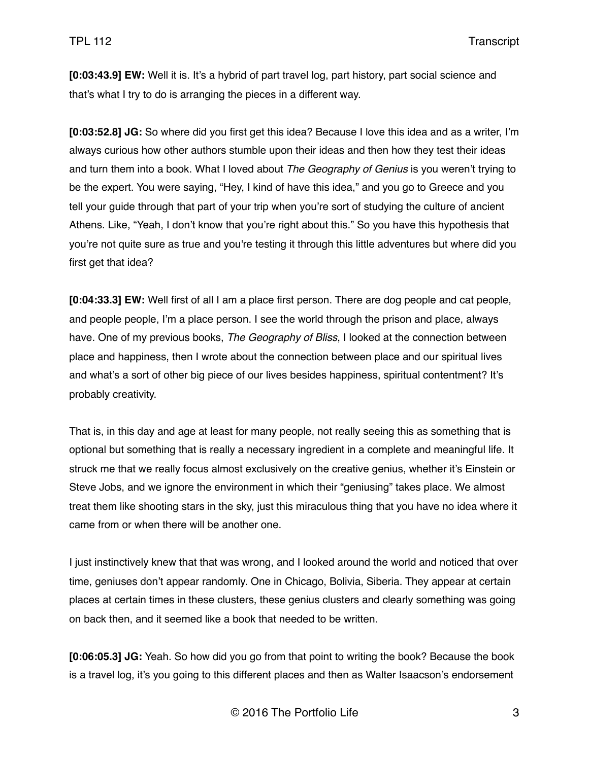**[0:03:43.9] EW:** Well it is. It's a hybrid of part travel log, part history, part social science and that's what I try to do is arranging the pieces in a different way.

**[0:03:52.8] JG:** So where did you first get this idea? Because I love this idea and as a writer, I'm always curious how other authors stumble upon their ideas and then how they test their ideas and turn them into a book. What I loved about *The Geography of Genius* is you weren't trying to be the expert. You were saying, "Hey, I kind of have this idea," and you go to Greece and you tell your guide through that part of your trip when you're sort of studying the culture of ancient Athens. Like, "Yeah, I don't know that you're right about this." So you have this hypothesis that you're not quite sure as true and you're testing it through this little adventures but where did you first get that idea?

**[0:04:33.3] EW:** Well first of all I am a place first person. There are dog people and cat people, and people people, I'm a place person. I see the world through the prison and place, always have. One of my previous books, *The Geography of Bliss*, I looked at the connection between place and happiness, then I wrote about the connection between place and our spiritual lives and what's a sort of other big piece of our lives besides happiness, spiritual contentment? It's probably creativity.

That is, in this day and age at least for many people, not really seeing this as something that is optional but something that is really a necessary ingredient in a complete and meaningful life. It struck me that we really focus almost exclusively on the creative genius, whether it's Einstein or Steve Jobs, and we ignore the environment in which their "geniusing" takes place. We almost treat them like shooting stars in the sky, just this miraculous thing that you have no idea where it came from or when there will be another one.

I just instinctively knew that that was wrong, and I looked around the world and noticed that over time, geniuses don't appear randomly. One in Chicago, Bolivia, Siberia. They appear at certain places at certain times in these clusters, these genius clusters and clearly something was going on back then, and it seemed like a book that needed to be written.

**[0:06:05.3] JG:** Yeah. So how did you go from that point to writing the book? Because the book is a travel log, it's you going to this different places and then as Walter Isaacson's endorsement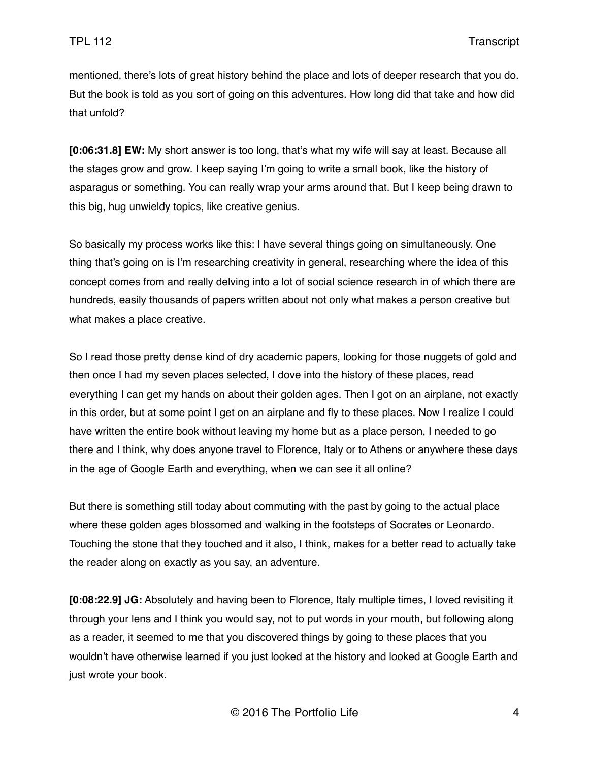mentioned, there's lots of great history behind the place and lots of deeper research that you do. But the book is told as you sort of going on this adventures. How long did that take and how did that unfold?

**[0:06:31.8] EW:** My short answer is too long, that's what my wife will say at least. Because all the stages grow and grow. I keep saying I'm going to write a small book, like the history of asparagus or something. You can really wrap your arms around that. But I keep being drawn to this big, hug unwieldy topics, like creative genius.

So basically my process works like this: I have several things going on simultaneously. One thing that's going on is I'm researching creativity in general, researching where the idea of this concept comes from and really delving into a lot of social science research in of which there are hundreds, easily thousands of papers written about not only what makes a person creative but what makes a place creative.

So I read those pretty dense kind of dry academic papers, looking for those nuggets of gold and then once I had my seven places selected, I dove into the history of these places, read everything I can get my hands on about their golden ages. Then I got on an airplane, not exactly in this order, but at some point I get on an airplane and fly to these places. Now I realize I could have written the entire book without leaving my home but as a place person, I needed to go there and I think, why does anyone travel to Florence, Italy or to Athens or anywhere these days in the age of Google Earth and everything, when we can see it all online?

But there is something still today about commuting with the past by going to the actual place where these golden ages blossomed and walking in the footsteps of Socrates or Leonardo. Touching the stone that they touched and it also, I think, makes for a better read to actually take the reader along on exactly as you say, an adventure.

**[0:08:22.9] JG:** Absolutely and having been to Florence, Italy multiple times, I loved revisiting it through your lens and I think you would say, not to put words in your mouth, but following along as a reader, it seemed to me that you discovered things by going to these places that you wouldn't have otherwise learned if you just looked at the history and looked at Google Earth and just wrote your book.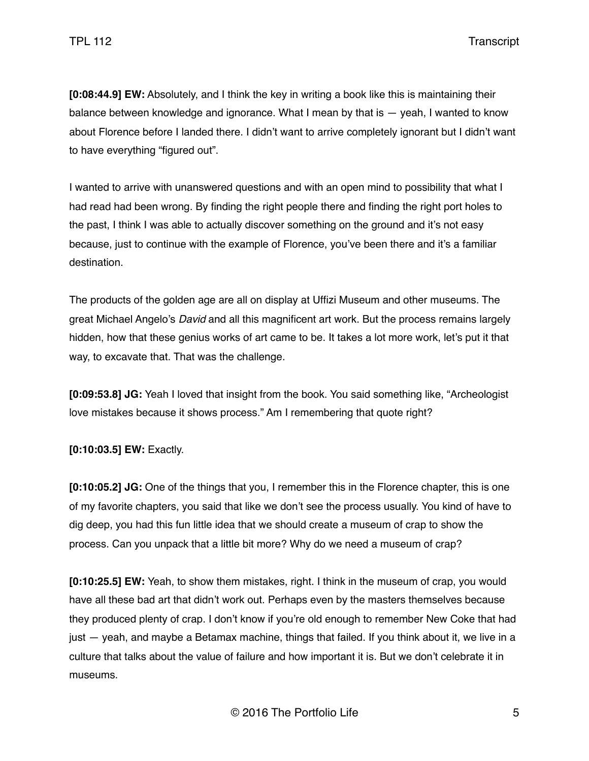**[0:08:44.9] EW:** Absolutely, and I think the key in writing a book like this is maintaining their balance between knowledge and ignorance. What I mean by that is — yeah, I wanted to know about Florence before I landed there. I didn't want to arrive completely ignorant but I didn't want to have everything "figured out".

I wanted to arrive with unanswered questions and with an open mind to possibility that what I had read had been wrong. By finding the right people there and finding the right port holes to the past, I think I was able to actually discover something on the ground and it's not easy because, just to continue with the example of Florence, you've been there and it's a familiar destination.

The products of the golden age are all on display at Uffizi Museum and other museums. The great Michael Angelo's *David* and all this magnificent art work. But the process remains largely hidden, how that these genius works of art came to be. It takes a lot more work, let's put it that way, to excavate that. That was the challenge.

**[0:09:53.8] JG:** Yeah I loved that insight from the book. You said something like, "Archeologist love mistakes because it shows process." Am I remembering that quote right?

**[0:10:03.5] EW:** Exactly.

**[0:10:05.2] JG:** One of the things that you, I remember this in the Florence chapter, this is one of my favorite chapters, you said that like we don't see the process usually. You kind of have to dig deep, you had this fun little idea that we should create a museum of crap to show the process. Can you unpack that a little bit more? Why do we need a museum of crap?

**[0:10:25.5] EW:** Yeah, to show them mistakes, right. I think in the museum of crap, you would have all these bad art that didn't work out. Perhaps even by the masters themselves because they produced plenty of crap. I don't know if you're old enough to remember New Coke that had just — yeah, and maybe a Betamax machine, things that failed. If you think about it, we live in a culture that talks about the value of failure and how important it is. But we don't celebrate it in museums.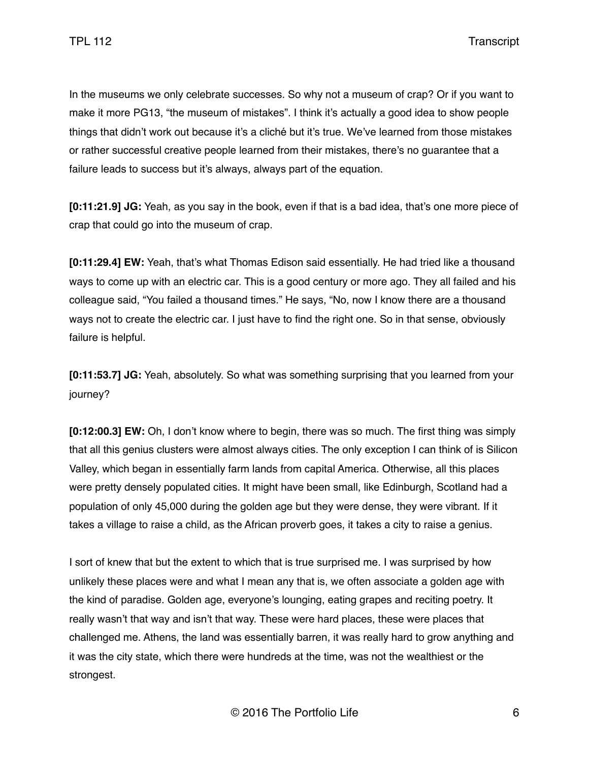In the museums we only celebrate successes. So why not a museum of crap? Or if you want to make it more PG13, "the museum of mistakes". I think it's actually a good idea to show people things that didn't work out because it's a cliché but it's true. We've learned from those mistakes or rather successful creative people learned from their mistakes, there's no guarantee that a failure leads to success but it's always, always part of the equation.

**[0:11:21.9] JG:** Yeah, as you say in the book, even if that is a bad idea, that's one more piece of crap that could go into the museum of crap.

**[0:11:29.4] EW:** Yeah, that's what Thomas Edison said essentially. He had tried like a thousand ways to come up with an electric car. This is a good century or more ago. They all failed and his colleague said, "You failed a thousand times." He says, "No, now I know there are a thousand ways not to create the electric car. I just have to find the right one. So in that sense, obviously failure is helpful.

**[0:11:53.7] JG:** Yeah, absolutely. So what was something surprising that you learned from your journey?

**[0:12:00.3] EW:** Oh, I don't know where to begin, there was so much. The first thing was simply that all this genius clusters were almost always cities. The only exception I can think of is Silicon Valley, which began in essentially farm lands from capital America. Otherwise, all this places were pretty densely populated cities. It might have been small, like Edinburgh, Scotland had a population of only 45,000 during the golden age but they were dense, they were vibrant. If it takes a village to raise a child, as the African proverb goes, it takes a city to raise a genius.

I sort of knew that but the extent to which that is true surprised me. I was surprised by how unlikely these places were and what I mean any that is, we often associate a golden age with the kind of paradise. Golden age, everyone's lounging, eating grapes and reciting poetry. It really wasn't that way and isn't that way. These were hard places, these were places that challenged me. Athens, the land was essentially barren, it was really hard to grow anything and it was the city state, which there were hundreds at the time, was not the wealthiest or the strongest.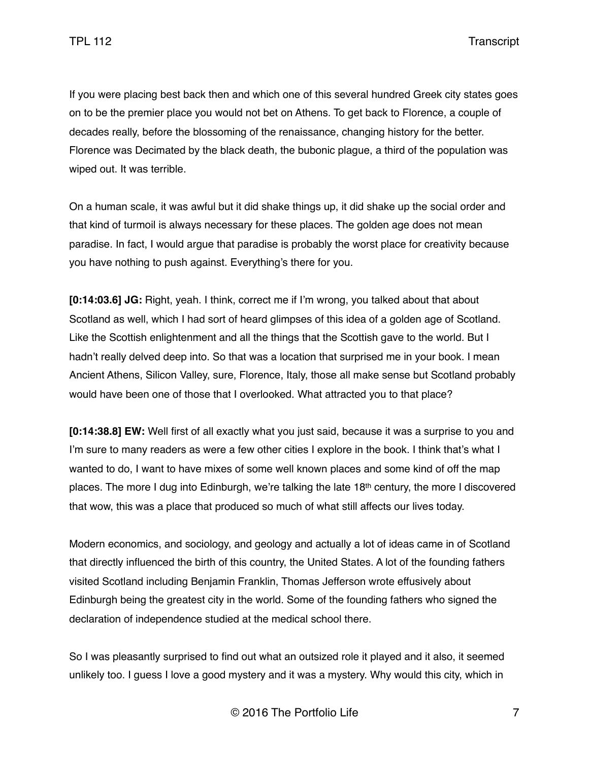If you were placing best back then and which one of this several hundred Greek city states goes on to be the premier place you would not bet on Athens. To get back to Florence, a couple of decades really, before the blossoming of the renaissance, changing history for the better. Florence was Decimated by the black death, the bubonic plague, a third of the population was wiped out. It was terrible.

On a human scale, it was awful but it did shake things up, it did shake up the social order and that kind of turmoil is always necessary for these places. The golden age does not mean paradise. In fact, I would argue that paradise is probably the worst place for creativity because you have nothing to push against. Everything's there for you.

**[0:14:03.6] JG:** Right, yeah. I think, correct me if I'm wrong, you talked about that about Scotland as well, which I had sort of heard glimpses of this idea of a golden age of Scotland. Like the Scottish enlightenment and all the things that the Scottish gave to the world. But I hadn't really delved deep into. So that was a location that surprised me in your book. I mean Ancient Athens, Silicon Valley, sure, Florence, Italy, those all make sense but Scotland probably would have been one of those that I overlooked. What attracted you to that place?

**[0:14:38.8] EW:** Well first of all exactly what you just said, because it was a surprise to you and I'm sure to many readers as were a few other cities I explore in the book. I think that's what I wanted to do, I want to have mixes of some well known places and some kind of off the map places. The more I dug into Edinburgh, we're talking the late 18th century, the more I discovered that wow, this was a place that produced so much of what still affects our lives today.

Modern economics, and sociology, and geology and actually a lot of ideas came in of Scotland that directly influenced the birth of this country, the United States. A lot of the founding fathers visited Scotland including Benjamin Franklin, Thomas Jefferson wrote effusively about Edinburgh being the greatest city in the world. Some of the founding fathers who signed the declaration of independence studied at the medical school there.

So I was pleasantly surprised to find out what an outsized role it played and it also, it seemed unlikely too. I guess I love a good mystery and it was a mystery. Why would this city, which in

© 2016 The Portfolio Life 7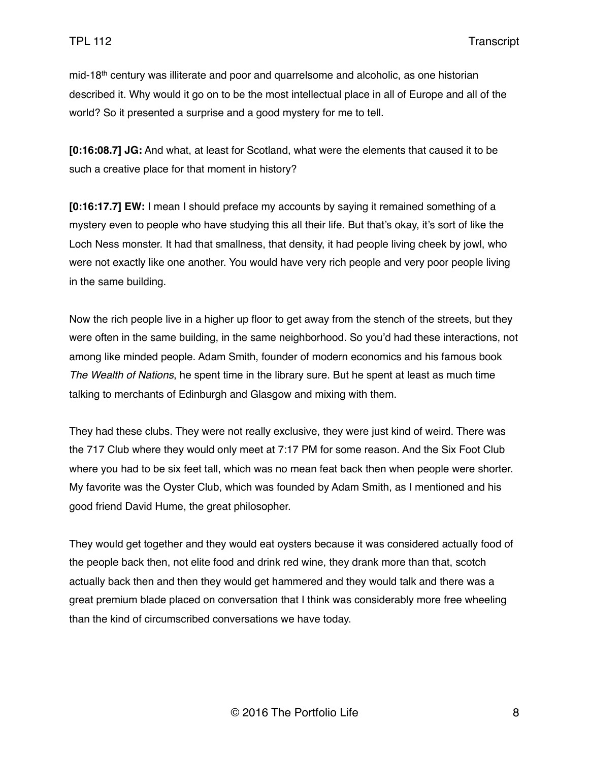mid-18<sup>th</sup> century was illiterate and poor and quarrelsome and alcoholic, as one historian described it. Why would it go on to be the most intellectual place in all of Europe and all of the world? So it presented a surprise and a good mystery for me to tell.

**[0:16:08.7] JG:** And what, at least for Scotland, what were the elements that caused it to be such a creative place for that moment in history?

**[0:16:17.7] EW:** I mean I should preface my accounts by saying it remained something of a mystery even to people who have studying this all their life. But that's okay, it's sort of like the Loch Ness monster. It had that smallness, that density, it had people living cheek by jowl, who were not exactly like one another. You would have very rich people and very poor people living in the same building.

Now the rich people live in a higher up floor to get away from the stench of the streets, but they were often in the same building, in the same neighborhood. So you'd had these interactions, not among like minded people. Adam Smith, founder of modern economics and his famous book *The Wealth of Nations*, he spent time in the library sure. But he spent at least as much time talking to merchants of Edinburgh and Glasgow and mixing with them.

They had these clubs. They were not really exclusive, they were just kind of weird. There was the 717 Club where they would only meet at 7:17 PM for some reason. And the Six Foot Club where you had to be six feet tall, which was no mean feat back then when people were shorter. My favorite was the Oyster Club, which was founded by Adam Smith, as I mentioned and his good friend David Hume, the great philosopher.

They would get together and they would eat oysters because it was considered actually food of the people back then, not elite food and drink red wine, they drank more than that, scotch actually back then and then they would get hammered and they would talk and there was a great premium blade placed on conversation that I think was considerably more free wheeling than the kind of circumscribed conversations we have today.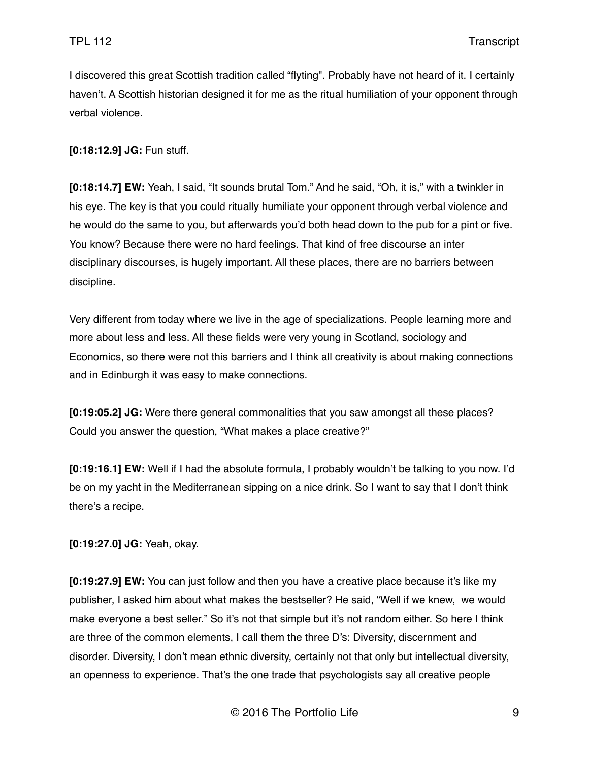I discovered this great Scottish tradition called "flyting". Probably have not heard of it. I certainly haven't. A Scottish historian designed it for me as the ritual humiliation of your opponent through verbal violence.

**[0:18:12.9] JG:** Fun stuff.

**[0:18:14.7] EW:** Yeah, I said, "It sounds brutal Tom." And he said, "Oh, it is," with a twinkler in his eye. The key is that you could ritually humiliate your opponent through verbal violence and he would do the same to you, but afterwards you'd both head down to the pub for a pint or five. You know? Because there were no hard feelings. That kind of free discourse an inter disciplinary discourses, is hugely important. All these places, there are no barriers between discipline.

Very different from today where we live in the age of specializations. People learning more and more about less and less. All these fields were very young in Scotland, sociology and Economics, so there were not this barriers and I think all creativity is about making connections and in Edinburgh it was easy to make connections.

**[0:19:05.2] JG:** Were there general commonalities that you saw amongst all these places? Could you answer the question, "What makes a place creative?"

**[0:19:16.1] EW:** Well if I had the absolute formula, I probably wouldn't be talking to you now. I'd be on my yacht in the Mediterranean sipping on a nice drink. So I want to say that I don't think there's a recipe.

**[0:19:27.0] JG:** Yeah, okay.

**[0:19:27.9] EW:** You can just follow and then you have a creative place because it's like my publisher, I asked him about what makes the bestseller? He said, "Well if we knew, we would make everyone a best seller." So it's not that simple but it's not random either. So here I think are three of the common elements, I call them the three D's: Diversity, discernment and disorder. Diversity, I don't mean ethnic diversity, certainly not that only but intellectual diversity, an openness to experience. That's the one trade that psychologists say all creative people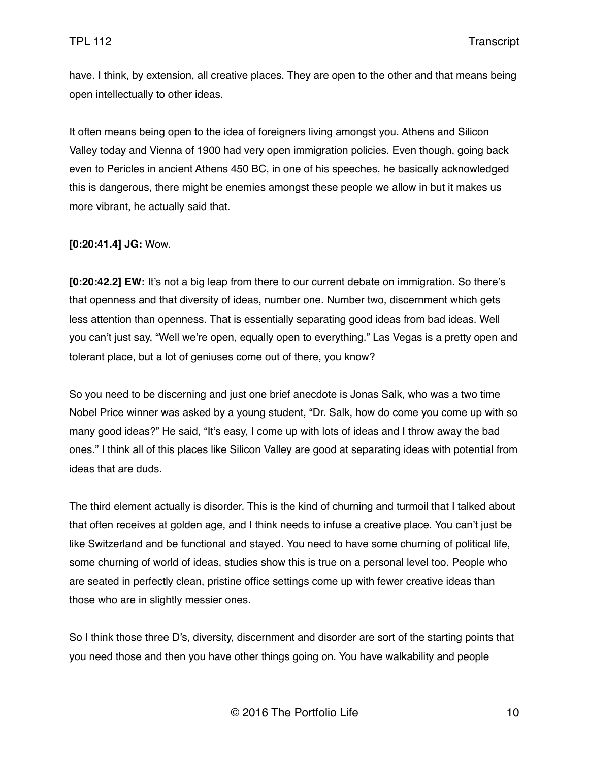have. I think, by extension, all creative places. They are open to the other and that means being open intellectually to other ideas.

It often means being open to the idea of foreigners living amongst you. Athens and Silicon Valley today and Vienna of 1900 had very open immigration policies. Even though, going back even to Pericles in ancient Athens 450 BC, in one of his speeches, he basically acknowledged this is dangerous, there might be enemies amongst these people we allow in but it makes us more vibrant, he actually said that.

#### **[0:20:41.4] JG:** Wow.

**[0:20:42.2] EW:** It's not a big leap from there to our current debate on immigration. So there's that openness and that diversity of ideas, number one. Number two, discernment which gets less attention than openness. That is essentially separating good ideas from bad ideas. Well you can't just say, "Well we're open, equally open to everything." Las Vegas is a pretty open and tolerant place, but a lot of geniuses come out of there, you know?

So you need to be discerning and just one brief anecdote is Jonas Salk, who was a two time Nobel Price winner was asked by a young student, "Dr. Salk, how do come you come up with so many good ideas?" He said, "It's easy, I come up with lots of ideas and I throw away the bad ones." I think all of this places like Silicon Valley are good at separating ideas with potential from ideas that are duds.

The third element actually is disorder. This is the kind of churning and turmoil that I talked about that often receives at golden age, and I think needs to infuse a creative place. You can't just be like Switzerland and be functional and stayed. You need to have some churning of political life, some churning of world of ideas, studies show this is true on a personal level too. People who are seated in perfectly clean, pristine office settings come up with fewer creative ideas than those who are in slightly messier ones.

So I think those three D's, diversity, discernment and disorder are sort of the starting points that you need those and then you have other things going on. You have walkability and people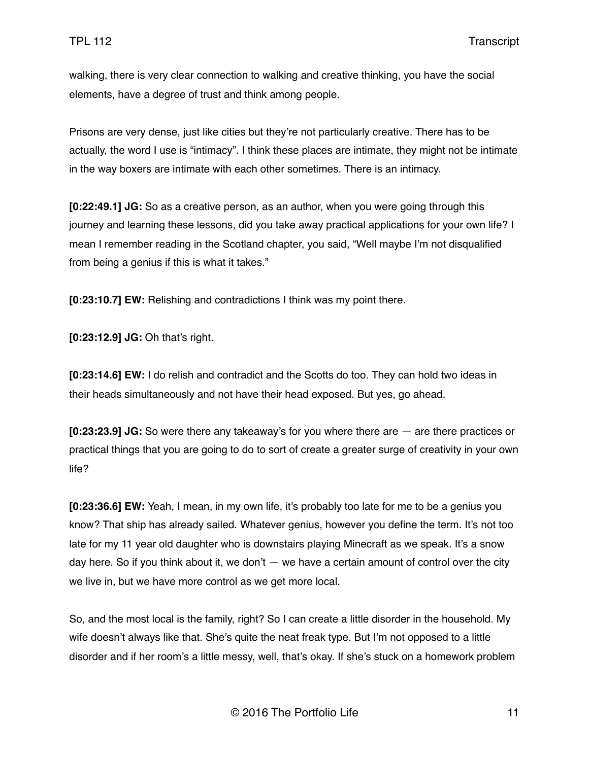walking, there is very clear connection to walking and creative thinking, you have the social elements, have a degree of trust and think among people.

Prisons are very dense, just like cities but they're not particularly creative. There has to be actually, the word I use is "intimacy". I think these places are intimate, they might not be intimate in the way boxers are intimate with each other sometimes. There is an intimacy.

**[0:22:49.1] JG:** So as a creative person, as an author, when you were going through this journey and learning these lessons, did you take away practical applications for your own life? I mean I remember reading in the Scotland chapter, you said, "Well maybe I'm not disqualified from being a genius if this is what it takes."

**[0:23:10.7] EW:** Relishing and contradictions I think was my point there.

**[0:23:12.9] JG:** Oh that's right.

**[0:23:14.6] EW:** I do relish and contradict and the Scotts do too. They can hold two ideas in their heads simultaneously and not have their head exposed. But yes, go ahead.

**[0:23:23.9] JG:** So were there any takeaway's for you where there are — are there practices or practical things that you are going to do to sort of create a greater surge of creativity in your own life?

**[0:23:36.6] EW:** Yeah, I mean, in my own life, it's probably too late for me to be a genius you know? That ship has already sailed. Whatever genius, however you define the term. It's not too late for my 11 year old daughter who is downstairs playing Minecraft as we speak. It's a snow day here. So if you think about it, we don't — we have a certain amount of control over the city we live in, but we have more control as we get more local.

So, and the most local is the family, right? So I can create a little disorder in the household. My wife doesn't always like that. She's quite the neat freak type. But I'm not opposed to a little disorder and if her room's a little messy, well, that's okay. If she's stuck on a homework problem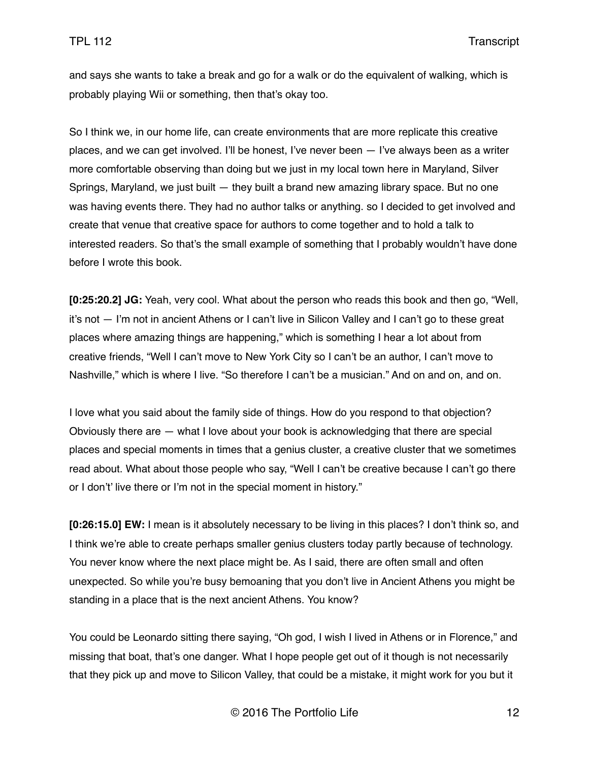and says she wants to take a break and go for a walk or do the equivalent of walking, which is probably playing Wii or something, then that's okay too.

So I think we, in our home life, can create environments that are more replicate this creative places, and we can get involved. I'll be honest, I've never been — I've always been as a writer more comfortable observing than doing but we just in my local town here in Maryland, Silver Springs, Maryland, we just built — they built a brand new amazing library space. But no one was having events there. They had no author talks or anything. so I decided to get involved and create that venue that creative space for authors to come together and to hold a talk to interested readers. So that's the small example of something that I probably wouldn't have done before I wrote this book.

**[0:25:20.2] JG:** Yeah, very cool. What about the person who reads this book and then go, "Well, it's not — I'm not in ancient Athens or I can't live in Silicon Valley and I can't go to these great places where amazing things are happening," which is something I hear a lot about from creative friends, "Well I can't move to New York City so I can't be an author, I can't move to Nashville," which is where I live. "So therefore I can't be a musician." And on and on, and on.

I love what you said about the family side of things. How do you respond to that objection? Obviously there are — what I love about your book is acknowledging that there are special places and special moments in times that a genius cluster, a creative cluster that we sometimes read about. What about those people who say, "Well I can't be creative because I can't go there or I don't' live there or I'm not in the special moment in history."

**[0:26:15.0] EW:** I mean is it absolutely necessary to be living in this places? I don't think so, and I think we're able to create perhaps smaller genius clusters today partly because of technology. You never know where the next place might be. As I said, there are often small and often unexpected. So while you're busy bemoaning that you don't live in Ancient Athens you might be standing in a place that is the next ancient Athens. You know?

You could be Leonardo sitting there saying, "Oh god, I wish I lived in Athens or in Florence," and missing that boat, that's one danger. What I hope people get out of it though is not necessarily that they pick up and move to Silicon Valley, that could be a mistake, it might work for you but it

© 2016 The Portfolio Life 12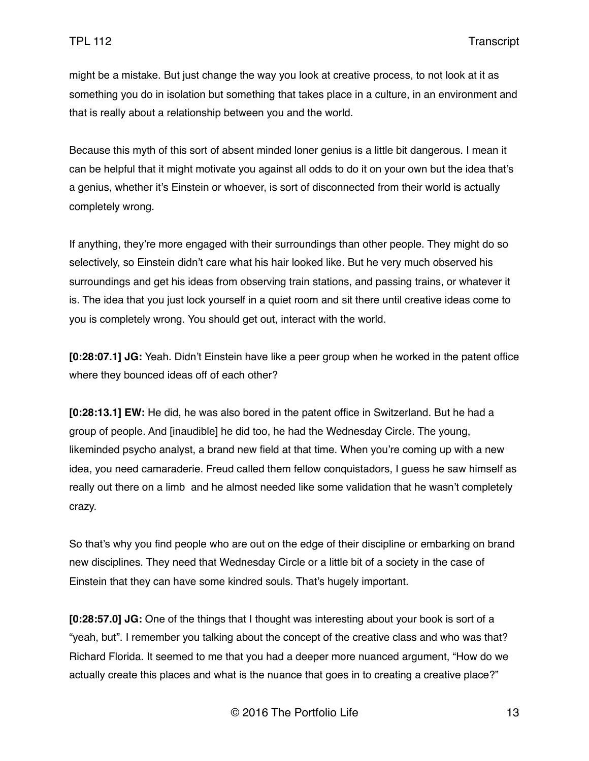might be a mistake. But just change the way you look at creative process, to not look at it as something you do in isolation but something that takes place in a culture, in an environment and that is really about a relationship between you and the world.

Because this myth of this sort of absent minded loner genius is a little bit dangerous. I mean it can be helpful that it might motivate you against all odds to do it on your own but the idea that's a genius, whether it's Einstein or whoever, is sort of disconnected from their world is actually completely wrong.

If anything, they're more engaged with their surroundings than other people. They might do so selectively, so Einstein didn't care what his hair looked like. But he very much observed his surroundings and get his ideas from observing train stations, and passing trains, or whatever it is. The idea that you just lock yourself in a quiet room and sit there until creative ideas come to you is completely wrong. You should get out, interact with the world.

**[0:28:07.1] JG:** Yeah. Didn't Einstein have like a peer group when he worked in the patent office where they bounced ideas off of each other?

**[0:28:13.1] EW:** He did, he was also bored in the patent office in Switzerland. But he had a group of people. And [inaudible] he did too, he had the Wednesday Circle. The young, likeminded psycho analyst, a brand new field at that time. When you're coming up with a new idea, you need camaraderie. Freud called them fellow conquistadors, I guess he saw himself as really out there on a limb and he almost needed like some validation that he wasn't completely crazy.

So that's why you find people who are out on the edge of their discipline or embarking on brand new disciplines. They need that Wednesday Circle or a little bit of a society in the case of Einstein that they can have some kindred souls. That's hugely important.

**[0:28:57.0] JG:** One of the things that I thought was interesting about your book is sort of a "yeah, but". I remember you talking about the concept of the creative class and who was that? Richard Florida. It seemed to me that you had a deeper more nuanced argument, "How do we actually create this places and what is the nuance that goes in to creating a creative place?"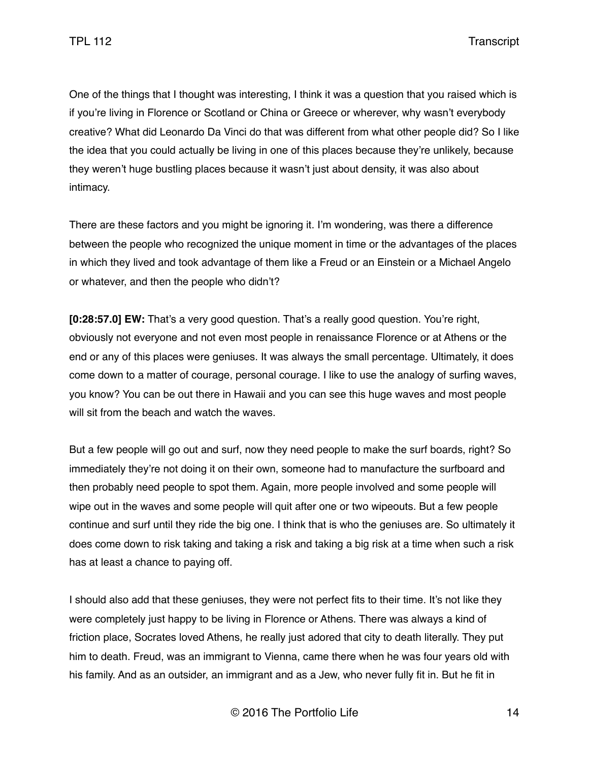One of the things that I thought was interesting, I think it was a question that you raised which is if you're living in Florence or Scotland or China or Greece or wherever, why wasn't everybody creative? What did Leonardo Da Vinci do that was different from what other people did? So I like the idea that you could actually be living in one of this places because they're unlikely, because they weren't huge bustling places because it wasn't just about density, it was also about intimacy.

There are these factors and you might be ignoring it. I'm wondering, was there a difference between the people who recognized the unique moment in time or the advantages of the places in which they lived and took advantage of them like a Freud or an Einstein or a Michael Angelo or whatever, and then the people who didn't?

**[0:28:57.0] EW:** That's a very good question. That's a really good question. You're right, obviously not everyone and not even most people in renaissance Florence or at Athens or the end or any of this places were geniuses. It was always the small percentage. Ultimately, it does come down to a matter of courage, personal courage. I like to use the analogy of surfing waves, you know? You can be out there in Hawaii and you can see this huge waves and most people will sit from the beach and watch the waves.

But a few people will go out and surf, now they need people to make the surf boards, right? So immediately they're not doing it on their own, someone had to manufacture the surfboard and then probably need people to spot them. Again, more people involved and some people will wipe out in the waves and some people will quit after one or two wipeouts. But a few people continue and surf until they ride the big one. I think that is who the geniuses are. So ultimately it does come down to risk taking and taking a risk and taking a big risk at a time when such a risk has at least a chance to paying off.

I should also add that these geniuses, they were not perfect fits to their time. It's not like they were completely just happy to be living in Florence or Athens. There was always a kind of friction place, Socrates loved Athens, he really just adored that city to death literally. They put him to death. Freud, was an immigrant to Vienna, came there when he was four years old with his family. And as an outsider, an immigrant and as a Jew, who never fully fit in. But he fit in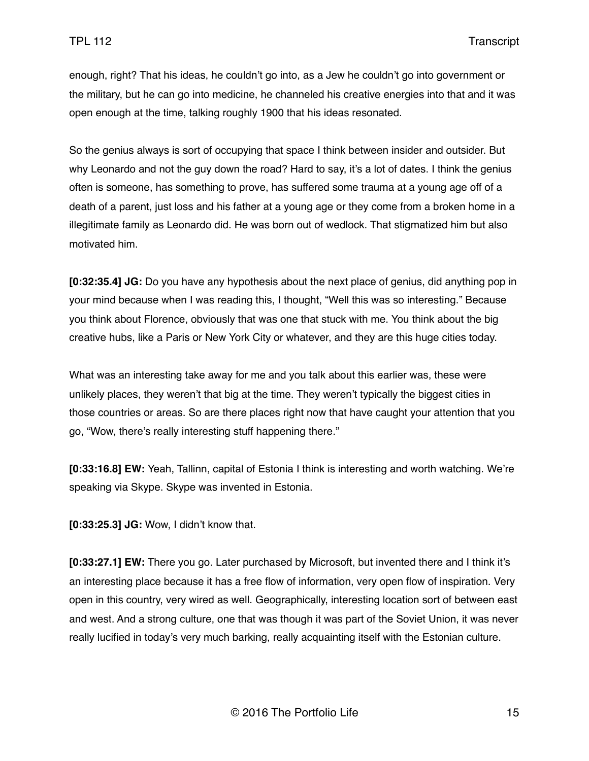enough, right? That his ideas, he couldn't go into, as a Jew he couldn't go into government or the military, but he can go into medicine, he channeled his creative energies into that and it was open enough at the time, talking roughly 1900 that his ideas resonated.

So the genius always is sort of occupying that space I think between insider and outsider. But why Leonardo and not the guy down the road? Hard to say, it's a lot of dates. I think the genius often is someone, has something to prove, has suffered some trauma at a young age off of a death of a parent, just loss and his father at a young age or they come from a broken home in a illegitimate family as Leonardo did. He was born out of wedlock. That stigmatized him but also motivated him.

**[0:32:35.4] JG:** Do you have any hypothesis about the next place of genius, did anything pop in your mind because when I was reading this, I thought, "Well this was so interesting." Because you think about Florence, obviously that was one that stuck with me. You think about the big creative hubs, like a Paris or New York City or whatever, and they are this huge cities today.

What was an interesting take away for me and you talk about this earlier was, these were unlikely places, they weren't that big at the time. They weren't typically the biggest cities in those countries or areas. So are there places right now that have caught your attention that you go, "Wow, there's really interesting stuff happening there."

**[0:33:16.8] EW:** Yeah, Tallinn, capital of Estonia I think is interesting and worth watching. We're speaking via Skype. Skype was invented in Estonia.

**[0:33:25.3] JG:** Wow, I didn't know that.

**[0:33:27.1] EW:** There you go. Later purchased by Microsoft, but invented there and I think it's an interesting place because it has a free flow of information, very open flow of inspiration. Very open in this country, very wired as well. Geographically, interesting location sort of between east and west. And a strong culture, one that was though it was part of the Soviet Union, it was never really lucified in today's very much barking, really acquainting itself with the Estonian culture.